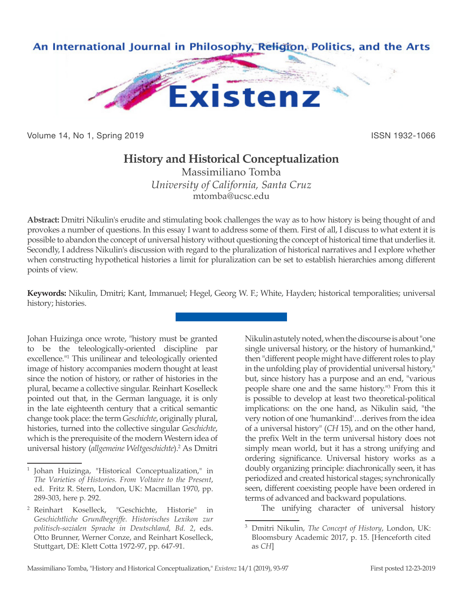

Volume 14, No 1, Spring 2019 **ISSN 1932-1066** ISSN 1932-1066

## **History and Historical Conceptualization**

Massimiliano Tomba *University of California, Santa Cruz* mtomba@ucsc.edu

**Abstract:** Dmitri Nikulin's erudite and stimulating book challenges the way as to how history is being thought of and provokes a number of questions. In this essay I want to address some of them. First of all, I discuss to what extent it is possible to abandon the concept of universal history without questioning the concept of historical time that underlies it. Secondly, I address Nikulin's discussion with regard to the pluralization of historical narratives and I explore whether when constructing hypothetical histories a limit for pluralization can be set to establish hierarchies among different points of view.

**Keywords:** Nikulin, Dmitri; Kant, Immanuel; Hegel, Georg W. F.; White, Hayden; historical temporalities; universal history; histories.

Johan Huizinga once wrote, "history must be granted to be the teleologically-oriented discipline par excellence."1 This unilinear and teleologically oriented image of history accompanies modern thought at least since the notion of history, or rather of histories in the plural, became a collective singular. Reinhart Koselleck pointed out that, in the German language, it is only in the late eighteenth century that a critical semantic change took place: the term *Geschichte*, originally plural, histories, turned into the collective singular *Geschichte*, which is the prerequisite of the modern Western idea of universal history (*allgemeine Weltgeschichte*).2 As Dmitri Nikulin astutely noted, when the discourse is about "one single universal history, or the history of humankind," then "different people might have different roles to play in the unfolding play of providential universal history," but, since history has a purpose and an end, "various people share one and the same history."3 From this it is possible to develop at least two theoretical-political implications: on the one hand, as Nikulin said, "the very notion of one 'humankind'…derives from the idea of a universal history" (*CH* 15), and on the other hand, the prefix Welt in the term universal history does not simply mean world, but it has a strong unifying and ordering significance. Universal history works as a doubly organizing principle: diachronically seen, it has periodized and created historical stages; synchronically seen, different coexisting people have been ordered in terms of advanced and backward populations.

The unifying character of universal history

<sup>1</sup> Johan Huizinga, "Historical Conceptualization," in *The Varieties of Histories. From Voltaire to the Present*, ed. Fritz R. Stern, London, UK: Macmillan 1970, pp. 289-303, here p. 292.

<sup>2</sup> Reinhart Koselleck, "Geschichte, Historie" in *Geschichtliche Grundbegriffe. Historisches Lexikon zur politisch-sozialen Sprache in Deutschland, Bd. 2*, eds. Otto Brunner, Werner Conze, and Reinhart Koselleck, Stuttgart, DE: Klett Cotta 1972-97, pp. 647-91.

<sup>3</sup> Dmitri Nikulin, *The Concept of History*, London, UK: Bloomsbury Academic 2017, p. 15. [Henceforth cited as *CH*]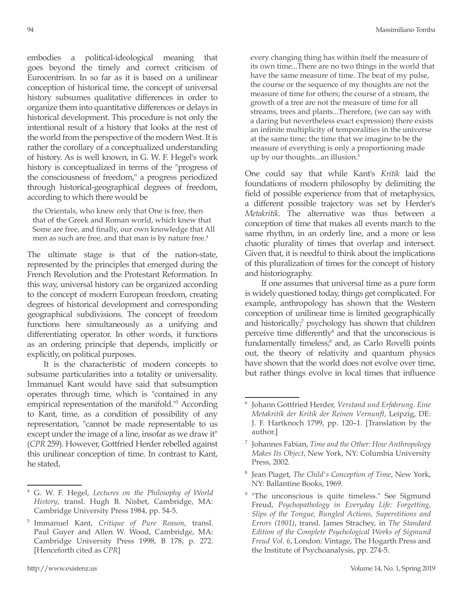embodies a political-ideological meaning that goes beyond the timely and correct criticism of Eurocentrism. In so far as it is based on a unilinear conception of historical time, the concept of universal history subsumes qualitative differences in order to organize them into quantitative differences or delays in historical development. This procedure is not only the intentional result of a history that looks at the rest of the world from the perspective of the modern West. It is rather the corollary of a conceptualized understanding of history. As is well known, in G. W. F. Hegel's work history is conceptualized in terms of the "progress of the consciousness of freedom," a progress periodized through historical-geographical degrees of freedom, according to which there would be

the Orientals, who knew only that One is free, then that of the Greek and Roman world, which knew that Some are free, and finally, our own knowledge that All men as such are free, and that man is by nature free.<sup>4</sup>

The ultimate stage is that of the nation-state, represented by the principles that emerged during the French Revolution and the Protestant Reformation. In this way, universal history can be organized according to the concept of modern European freedom, creating degrees of historical development and corresponding geographical subdivisions. The concept of freedom functions here simultaneously as a unifying and differentiating operator. In other words, it functions as an ordering principle that depends, implicitly or explicitly, on political purposes.

It is the characteristic of modern concepts to subsume particularities into a totality or universality. Immanuel Kant would have said that subsumption operates through time, which is "contained in any empirical representation of the manifold."5 According to Kant, time, as a condition of possibility of any representation, "cannot be made representable to us except under the image of a line, insofar as we draw it" (*CPR* 259). However, Gottfried Herder rebelled against this unilinear conception of time. In contrast to Kant, he stated,

every changing thing has within itself the measure of its own time...There are no two things in the world that have the same measure of time. The beat of my pulse, the course or the sequence of my thoughts are not the measure of time for others; the course of a stream, the growth of a tree are not the measure of time for all streams, trees and plants...Therefore, (we can say with a daring but nevertheless exact expression) there exists an infinite multiplicity of temporalities in the universe at the same time; the time that we imagine to be the measure of everything is only a proportioning made up by our thoughts...an illusion.<sup>6</sup>

One could say that while Kant's *Kritik* laid the foundations of modern philosophy by delimiting the field of possible experience from that of metaphysics, a different possible trajectory was set by Herder's *Metakritik*. The alternative was thus between a conception of time that makes all events march to the same rhythm, in an orderly line, and a more or less chaotic plurality of times that overlap and intersect. Given that, it is needful to think about the implications of this pluralization of times for the concept of history and historiography.

If one assumes that universal time as a pure form is widely questioned today, things get complicated. For example, anthropology has shown that the Western conception of unilinear time is limited geographically and historically;<sup>7</sup> psychology has shown that children perceive time differently<sup>8</sup> and that the unconscious is fundamentally timeless;<sup>9</sup> and, as Carlo Rovelli points out, the theory of relativity and quantum physics have shown that the world does not evolve over time, but rather things evolve in local times that influence

<sup>4</sup> G. W. F. Hegel, *Lectures on the Philosophy of World History*, transl. Hugh B. Nisbet, Cambridge, MA: Cambridge University Press 1984, pp. 54-5.

<sup>5</sup> Immanuel Kant, *Critique of Pure Reason*, transl. Paul Guyer and Allen W. Wood, Cambridge, MA: Cambridge University Press 1998, B 178, p. 272. [Henceforth cited as *CPR*]

<sup>6</sup> Johann Gottfried Herder, *Verstand und Erfahrung. Eine Metakritik der Kritik der Reinen Vernunft*, Leipzig, DE: J. F. Hartknoch 1799, pp. 120–1. [Translation by the author.]

<sup>7</sup> Johannes Fabian, *Time and the Other: How Anthropology Makes Its Object*, New York, NY: Columbia University Press, 2002.

<sup>8</sup> Jean Piaget, *The Child's Conception of Time*, New York, NY: Ballantine Books, 1969.

<sup>&</sup>quot;The unconscious is quite timeless." See Sigmund Freud, *Psychopathology in Everyday Life: Forgetting, Slips of the Tongue, Bungled Actions, Superstitions and Errors (1901)*, transl. James Strachey, in *The Standard Edition of the Complete Psychological Works of Sigmund Freud Vol. 6*, London: Vintage, The Hogarth Press and the Institute of Psychoanalysis, pp. 274-5.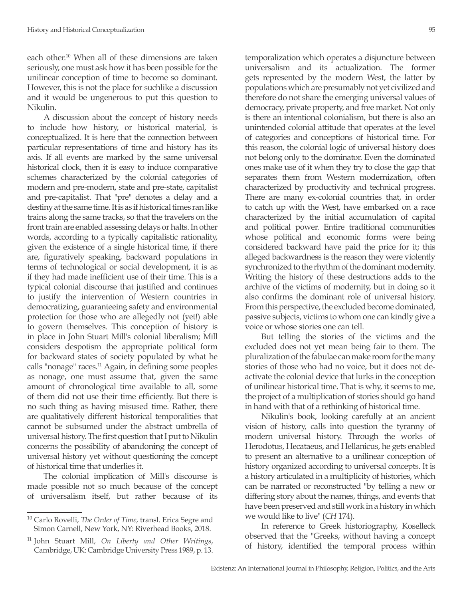each other.10 When all of these dimensions are taken seriously, one must ask how it has been possible for the unilinear conception of time to become so dominant. However, this is not the place for suchlike a discussion and it would be ungenerous to put this question to Nikulin.

A discussion about the concept of history needs to include how history, or historical material, is conceptualized. It is here that the connection between particular representations of time and history has its axis. If all events are marked by the same universal historical clock, then it is easy to induce comparative schemes characterized by the colonial categories of modern and pre-modern, state and pre-state, capitalist and pre-capitalist. That "pre" denotes a delay and a destiny at the same time. It is as if historical times ran like trains along the same tracks, so that the travelers on the front train are enabled assessing delays or halts. In other words, according to a typically capitalistic rationality, given the existence of a single historical time, if there are, figuratively speaking, backward populations in terms of technological or social development, it is as if they had made inefficient use of their time. This is a typical colonial discourse that justified and continues to justify the intervention of Western countries in democratizing, guaranteeing safety and environmental protection for those who are allegedly not (yet!) able to govern themselves. This conception of history is in place in John Stuart Mill's colonial liberalism; Mill considers despotism the appropriate political form for backward states of society populated by what he calls "nonage" races.<sup>11</sup> Again, in defining some peoples as nonage, one must assume that, given the same amount of chronological time available to all, some of them did not use their time efficiently. But there is no such thing as having misused time. Rather, there are qualitatively different historical temporalities that cannot be subsumed under the abstract umbrella of universal history. The first question that I put to Nikulin concerns the possibility of abandoning the concept of universal history yet without questioning the concept of historical time that underlies it.

The colonial implication of Mill's discourse is made possible not so much because of the concept of universalism itself, but rather because of its temporalization which operates a disjuncture between universalism and its actualization. The former gets represented by the modern West, the latter by populations which are presumably not yet civilized and therefore do not share the emerging universal values of democracy, private property, and free market. Not only is there an intentional colonialism, but there is also an unintended colonial attitude that operates at the level of categories and conceptions of historical time. For this reason, the colonial logic of universal history does not belong only to the dominator. Even the dominated ones make use of it when they try to close the gap that separates them from Western modernization, often characterized by productivity and technical progress. There are many ex-colonial countries that, in order to catch up with the West, have embarked on a race characterized by the initial accumulation of capital and political power. Entire traditional communities whose political and economic forms were being considered backward have paid the price for it; this alleged backwardness is the reason they were violently synchronized to the rhythm of the dominant modernity. Writing the history of these destructions adds to the archive of the victims of modernity, but in doing so it also confirms the dominant role of universal history. From this perspective, the excluded become dominated, passive subjects, victims to whom one can kindly give a voice or whose stories one can tell.

But telling the stories of the victims and the excluded does not yet mean being fair to them. The pluralization of the fabulae can make room for the many stories of those who had no voice, but it does not deactivate the colonial device that lurks in the conception of unilinear historical time. That is why, it seems to me, the project of a multiplication of stories should go hand in hand with that of a rethinking of historical time.

Nikulin's book, looking carefully at an ancient vision of history, calls into question the tyranny of modern universal history. Through the works of Herodotus, Hecataeus, and Hellanicus, he gets enabled to present an alternative to a unilinear conception of history organized according to universal concepts. It is a history articulated in a multiplicity of histories, which can be narrated or reconstructed "by telling a new or differing story about the names, things, and events that have been preserved and still work in a history in which we would like to live" (*CH* 174).

In reference to Greek historiography, Koselleck observed that the "Greeks, without having a concept of history, identified the temporal process within

<sup>10</sup> Carlo Rovelli, *The Order of Time*, transl. Erica Segre and Simon Carnell, New York, NY: Riverhead Books. 2018.

<sup>11</sup> John Stuart Mill, *On Liberty and Other Writings*, Cambridge, UK: Cambridge University Press 1989, p. 13.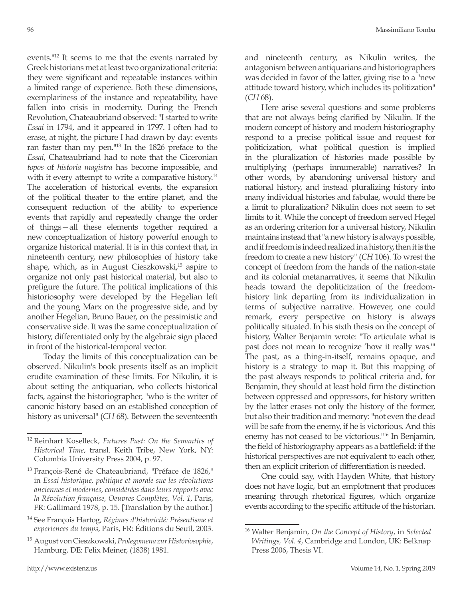events."12 It seems to me that the events narrated by Greek historians met at least two organizational criteria: they were significant and repeatable instances within a limited range of experience. Both these dimensions, exemplariness of the instance and repeatability, have fallen into crisis in modernity. During the French Revolution, Chateaubriand observed: "I started to write *Essai* in 1794, and it appeared in 1797. I often had to erase, at night, the picture I had drawn by day: events ran faster than my pen."13 In the 1826 preface to the *Essai*, Chateaubriand had to note that the Ciceronian *topos* of *historia magistra* has become impossible, and with it every attempt to write a comparative history.<sup>14</sup> The acceleration of historical events, the expansion of the political theater to the entire planet, and the consequent reduction of the ability to experience events that rapidly and repeatedly change the order of things—all these elements together required a new conceptualization of history powerful enough to organize historical material. It is in this context that, in nineteenth century, new philosophies of history take shape, which, as in August Cieszkowski,<sup>15</sup> aspire to organize not only past historical material, but also to prefigure the future. The political implications of this historiosophy were developed by the Hegelian left and the young Marx on the progressive side, and by another Hegelian, Bruno Bauer, on the pessimistic and conservative side. It was the same conceptualization of history, differentiated only by the algebraic sign placed in front of the historical-temporal vector.

Today the limits of this conceptualization can be observed. Nikulin's book presents itself as an implicit erudite examination of these limits. For Nikulin, it is about setting the antiquarian, who collects historical facts, against the historiographer, "who is the writer of canonic history based on an established conception of history as universal" (*CH* 68). Between the seventeenth

<sup>14</sup> See François Hartog, *Régimes d'historicité: Présentisme et experiences du temps*, Paris, FR: Éditions du Seuil, 2003.

<sup>15</sup> August von Cieszkowski, *Prolegomena zur Historiosophie*, Hamburg, DE: Felix Meiner, (1838) 1981.

and nineteenth century, as Nikulin writes, the antagonism between antiquarians and historiographers was decided in favor of the latter, giving rise to a "new attitude toward history, which includes its politization" (*CH* 68).

Here arise several questions and some problems that are not always being clarified by Nikulin. If the modern concept of history and modern historiography respond to a precise political issue and request for politicization, what political question is implied in the pluralization of histories made possible by multiplying (perhaps innumerable) narratives? In other words, by abandoning universal history and national history, and instead pluralizing history into many individual histories and fabulae, would there be a limit to pluralization? Nikulin does not seem to set limits to it. While the concept of freedom served Hegel as an ordering criterion for a universal history, Nikulin maintains instead that "a new history is always possible, and if freedom is indeed realized in a history, then it is the freedom to create a new history" (*CH* 106). To wrest the concept of freedom from the hands of the nation-state and its colonial metanarratives, it seems that Nikulin heads toward the depoliticization of the freedomhistory link departing from its individualization in terms of subjective narrative. However, one could remark, every perspective on history is always politically situated. In his sixth thesis on the concept of history, Walter Benjamin wrote: "To articulate what is past does not mean to recognize 'how it really was.'" The past, as a thing-in-itself, remains opaque, and history is a strategy to map it. But this mapping of the past always responds to political criteria and, for Benjamin, they should at least hold firm the distinction between oppressed and oppressors, for history written by the latter erases not only the history of the former, but also their tradition and memory: "not even the dead will be safe from the enemy, if he is victorious. And this enemy has not ceased to be victorious."<sup>16</sup> In Benjamin, the field of historiography appears as a battlefield: if the historical perspectives are not equivalent to each other, then an explicit criterion of differentiation is needed.

One could say, with Hayden White, that history does not have logic, but an emplotment that produces meaning through rhetorical figures, which organize events according to the specific attitude of the historian.

<sup>12</sup> Reinhart Koselleck, *Futures Past: On the Semantics of Historical Time*, transl. Keith Tribe, New York, NY: Columbia University Press 2004, p. 97.

<sup>&</sup>lt;sup>13</sup> François-René de Chateaubriand, "Préface de 1826," in *Essai historique, politique et morale sue les révolutions anciennes et modernes, considérées dans leurs rapports avec la Révolution française, Oeuvres Complètes, Vol. 1*, Paris, FR: Gallimard 1978, p. 15. [Translation by the author.]

<sup>16</sup> Walter Benjamin, *On the Concept of History*, in *Selected Writings, Vol. 4*, Cambridge and London, UK: Belknap Press 2006, Thesis VI.